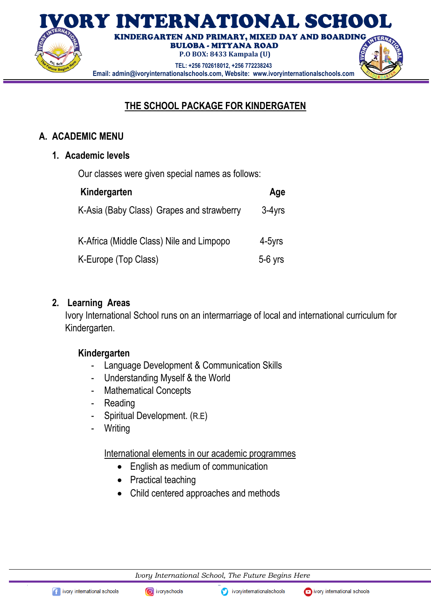

# **THE SCHOOL PACKAGE FOR KINDERGATEN**

### **A. ACADEMIC MENU**

### **1. Academic levels**

Our classes were given special names as follows:

| Kindergarten                              | Age       |
|-------------------------------------------|-----------|
| K-Asia (Baby Class) Grapes and strawberry | $3-4$ yrs |
| K-Africa (Middle Class) Nile and Limpopo  | 4-5yrs    |
| K-Europe (Top Class)                      | $5-6$ yrs |

### **2. Learning Areas**

Ivory International School runs on an intermarriage of local and international curriculum for Kindergarten.

### **Kindergarten**

- Language Development & Communication Skills
- Understanding Myself & the World
- Mathematical Concepts
- Reading
- Spiritual Development. (R.E)
- **Writing**

International elements in our academic programmes

- English as medium of communication
- Practical teaching
- Child centered approaches and methods

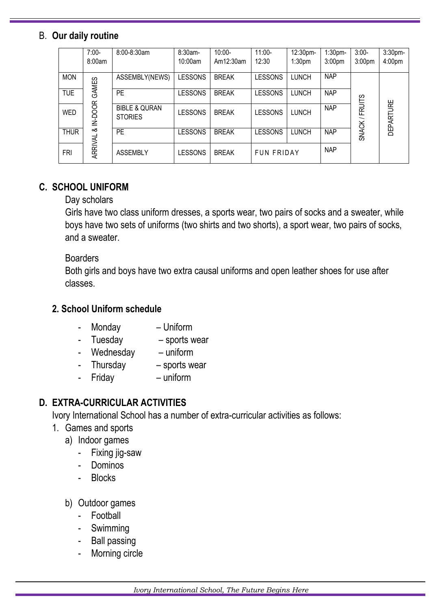### B. **Our daily routine**

|             | $7:00-$ | 8:00-8:30am                                | 8:30am-        | $10:00 -$    | $11:00 -$         | 12:30pm-           | 1:30 <sub>pm</sub> | $3:00-$            | 3:30pm-            |
|-------------|---------|--------------------------------------------|----------------|--------------|-------------------|--------------------|--------------------|--------------------|--------------------|
|             | 8:00am  |                                            | 10:00am        | Am12:30am    | 12:30             | 1:30 <sub>pm</sub> | 3:00 <sub>pm</sub> | 3:00 <sub>pm</sub> | 4:00 <sub>pm</sub> |
| <b>MON</b>  | GAMES   | ASSEMBLY(NEWS)                             | <b>LESSONS</b> | <b>BREAK</b> | <b>LESSONS</b>    | <b>LUNCH</b>       | <b>NAP</b>         |                    |                    |
| <b>TUE</b>  |         | <b>PE</b>                                  | <b>LESSONS</b> | <b>BREAK</b> | <b>LESSONS</b>    | <b>LUNCH</b>       | <b>NAP</b>         |                    |                    |
| <b>WED</b>  | IN-DOOR | <b>BIBLE &amp; QURAN</b><br><b>STORIES</b> | <b>LESSONS</b> | <b>BREAK</b> | <b>LESSONS</b>    | <b>LUNCH</b>       | <b>NAP</b>         | <b>FRUITS</b>      | <b>DEPARTURE</b>   |
| <b>THUR</b> | ∞ర      | <b>PE</b>                                  | <b>LESSONS</b> | <b>BREAK</b> | <b>LESSONS</b>    | <b>LUNCH</b>       | <b>NAP</b>         | SNACK/             |                    |
| FRI         | ARRIVAL | <b>ASSEMBLY</b>                            | <b>LESSONS</b> | <b>BREAK</b> | <b>FUN FRIDAY</b> |                    | <b>NAP</b>         |                    |                    |

## **C. SCHOOL UNIFORM**

### Day scholars

Girls have two class uniform dresses, a sports wear, two pairs of socks and a sweater, while boys have two sets of uniforms (two shirts and two shorts), a sport wear, two pairs of socks, and a sweater.

#### **Boarders**

Both girls and boys have two extra causal uniforms and open leather shoes for use after classes.

### **2. School Uniform schedule**

- Monday Uniform
- Tuesday sports wear
- Wednesday uniform
- Thursday sports wear
- Friday uniform

## **D. EXTRA-CURRICULAR ACTIVITIES**

Ivory International School has a number of extra-curricular activities as follows:

- 1. Games and sports
	- a) Indoor games
		- Fixing jig-saw
		- Dominos
		- Blocks
	- b) Outdoor games
		- Football
		- **Swimming**
		- Ball passing
		- Morning circle